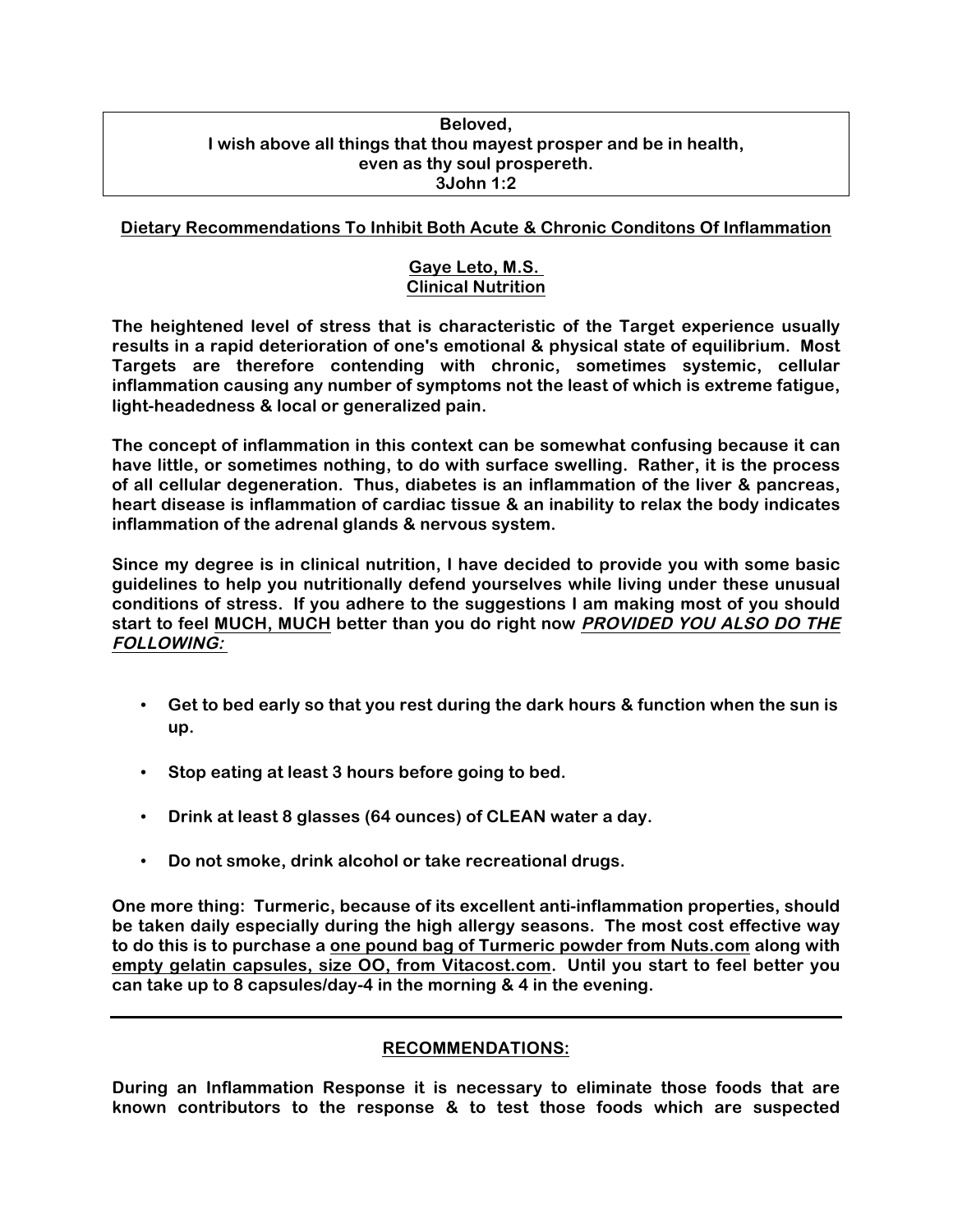#### **Beloved, I wish above all things that thou mayest prosper and be in health, even as thy soul prospereth. 3John 1:2**

# **Dietary Recommendations To Inhibit Both Acute & Chronic Conditons Of Inflammation**

# **Gaye Leto, M.S. Clinical Nutrition**

**The heightened level of stress that is characteristic of the Target experience usually results in a rapid deterioration of one's emotional & physical state of equilibrium. Most Targets are therefore contending with chronic, sometimes systemic, cellular inflammation causing any number of symptoms not the least of which is extreme fatigue, light-headedness & local or generalized pain.**

**The concept of inflammation in this context can be somewhat confusing because it can have little, or sometimes nothing, to do with surface swelling. Rather, it is the process of all cellular degeneration. Thus, diabetes is an inflammation of the liver & pancreas, heart disease is inflammation of cardiac tissue & an inability to relax the body indicates inflammation of the adrenal glands & nervous system.**

**Since my degree is in clinical nutrition, I have decided to provide you with some basic guidelines to help you nutritionally defend yourselves while living under these unusual conditions of stress. If you adhere to the suggestions I am making most of you should start to feel MUCH, MUCH better than you do right now PROVIDED YOU ALSO DO THE FOLLOWING:**

- **Get to bed early so that you rest during the dark hours & function when the sun is up.**
- **Stop eating at least 3 hours before going to bed.**
- **Drink at least 8 glasses (64 ounces) of CLEAN water a day.**
- **Do not smoke, drink alcohol or take recreational drugs.**

**One more thing: Turmeric, because of its excellent anti-inflammation properties, should be taken daily especially during the high allergy seasons. The most cost effective way to do this is to purchase a one pound bag of Turmeric powder from Nuts.com along with empty gelatin capsules, size OO, from Vitacost.com. Until you start to feel better you can take up to 8 capsules/day-4 in the morning & 4 in the evening.** 

# **RECOMMENDATIONS:**

**During an Inflammation Response it is necessary to eliminate those foods that are known contributors to the response & to test those foods which are suspected**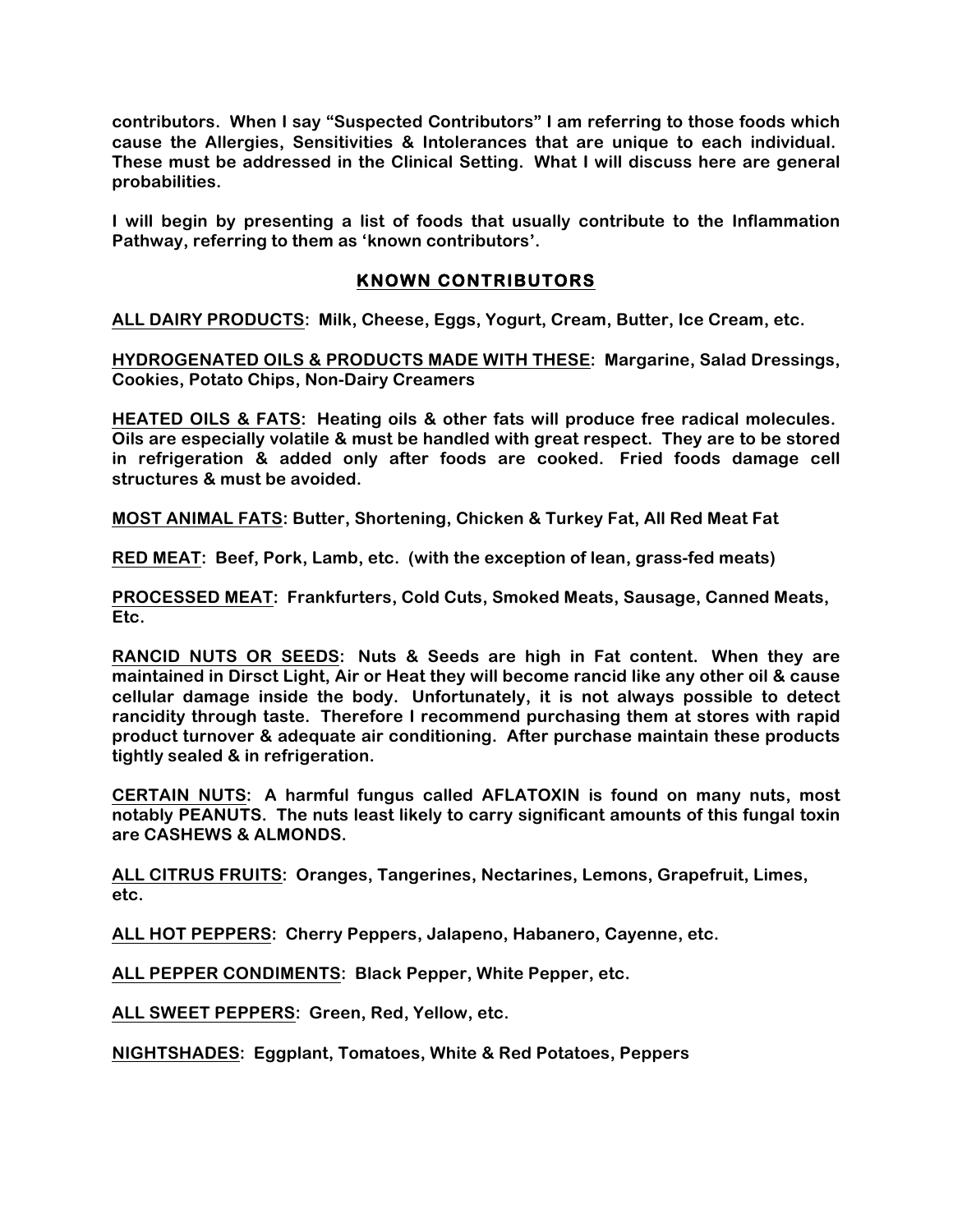**contributors. When I say "Suspected Contributors" I am referring to those foods which cause the Allergies, Sensitivities & Intolerances that are unique to each individual. These must be addressed in the Clinical Setting. What I will discuss here are general probabilities.**

**I will begin by presenting a list of foods that usually contribute to the Inflammation Pathway, referring to them as 'known contributors'.**

# **KNOWN CONTRIBUTORS**

**ALL DAIRY PRODUCTS: Milk, Cheese, Eggs, Yogurt, Cream, Butter, Ice Cream, etc.**

**HYDROGENATED OILS & PRODUCTS MADE WITH THESE: Margarine, Salad Dressings, Cookies, Potato Chips, Non-Dairy Creamers**

**HEATED OILS & FATS: Heating oils & other fats will produce free radical molecules. Oils are especially volatile & must be handled with great respect. They are to be stored in refrigeration & added only after foods are cooked. Fried foods damage cell structures & must be avoided.**

**MOST ANIMAL FATS: Butter, Shortening, Chicken & Turkey Fat, All Red Meat Fat**

**RED MEAT: Beef, Pork, Lamb, etc. (with the exception of lean, grass-fed meats)**

**PROCESSED MEAT: Frankfurters, Cold Cuts, Smoked Meats, Sausage, Canned Meats, Etc.**

**RANCID NUTS OR SEEDS: Nuts & Seeds are high in Fat content. When they are maintained in Dirsct Light, Air or Heat they will become rancid like any other oil & cause cellular damage inside the body. Unfortunately, it is not always possible to detect rancidity through taste. Therefore I recommend purchasing them at stores with rapid product turnover & adequate air conditioning. After purchase maintain these products tightly sealed & in refrigeration.**

**CERTAIN NUTS: A harmful fungus called AFLATOXIN is found on many nuts, most notably PEANUTS. The nuts least likely to carry significant amounts of this fungal toxin are CASHEWS & ALMONDS.**

**ALL CITRUS FRUITS: Oranges, Tangerines, Nectarines, Lemons, Grapefruit, Limes, etc.**

**ALL HOT PEPPERS: Cherry Peppers, Jalapeno, Habanero, Cayenne, etc.**

**ALL PEPPER CONDIMENTS: Black Pepper, White Pepper, etc.**

**ALL SWEET PEPPERS: Green, Red, Yellow, etc.**

**NIGHTSHADES: Eggplant, Tomatoes, White & Red Potatoes, Peppers**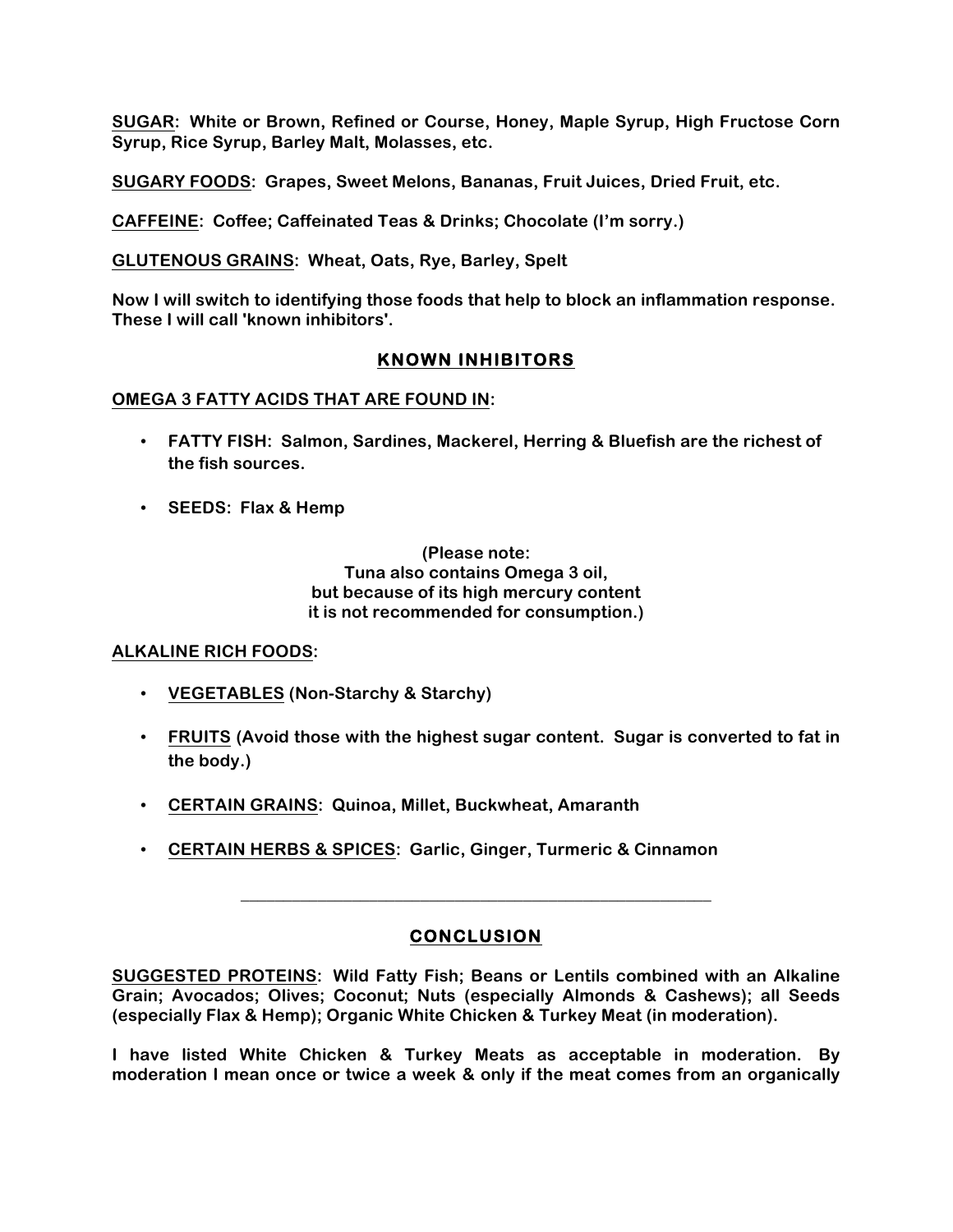**SUGAR: White or Brown, Refined or Course, Honey, Maple Syrup, High Fructose Corn Syrup, Rice Syrup, Barley Malt, Molasses, etc.**

**SUGARY FOODS: Grapes, Sweet Melons, Bananas, Fruit Juices, Dried Fruit, etc.**

**CAFFEINE: Coffee; Caffeinated Teas & Drinks; Chocolate (I'm sorry.)**

**GLUTENOUS GRAINS: Wheat, Oats, Rye, Barley, Spelt**

**Now I will switch to identifying those foods that help to block an inflammation response. These I will call 'known inhibitors'.**

# **KNOWN INHIBITORS**

#### **OMEGA 3 FATTY ACIDS THAT ARE FOUND IN:**

- **FATTY FISH: Salmon, Sardines, Mackerel, Herring & Bluefish are the richest of the fish sources.**
- **SEEDS: Flax & Hemp**

**(Please note: Tuna also contains Omega 3 oil, but because of its high mercury content it is not recommended for consumption.)**

#### **ALKALINE RICH FOODS:**

- **VEGETABLES (Non-Starchy & Starchy)**
- **FRUITS (Avoid those with the highest sugar content. Sugar is converted to fat in the body.)**
- **CERTAIN GRAINS: Quinoa, Millet, Buckwheat, Amaranth**
- **CERTAIN HERBS & SPICES: Garlic, Ginger, Turmeric & Cinnamon**

# **CONCLUSION**

**\_\_\_\_\_\_\_\_\_\_\_\_\_\_\_\_\_\_\_\_\_\_\_\_\_\_\_\_\_\_\_\_\_\_\_\_\_\_\_\_\_\_\_\_\_\_\_\_\_\_\_\_\_\_\_**

**SUGGESTED PROTEINS: Wild Fatty Fish; Beans or Lentils combined with an Alkaline Grain; Avocados; Olives; Coconut; Nuts (especially Almonds & Cashews); all Seeds (especially Flax & Hemp); Organic White Chicken & Turkey Meat (in moderation).**

**I have listed White Chicken & Turkey Meats as acceptable in moderation. By moderation I mean once or twice a week & only if the meat comes from an organically**